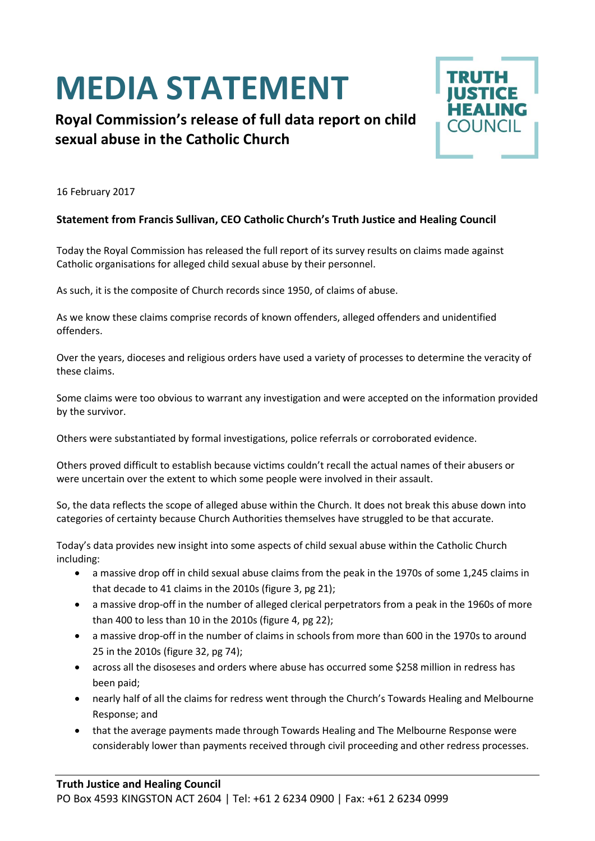## **MEDIA STATEMENT**

## **Royal Commission's release of full data report on child sexual abuse in the Catholic Church**



16 February 2017

## **Statement from Francis Sullivan, CEO Catholic Church's Truth Justice and Healing Council**

Today the Royal Commission has released the full report of its survey results on claims made against Catholic organisations for alleged child sexual abuse by their personnel.

As such, it is the composite of Church records since 1950, of claims of abuse.

As we know these claims comprise records of known offenders, alleged offenders and unidentified offenders.

Over the years, dioceses and religious orders have used a variety of processes to determine the veracity of these claims.

Some claims were too obvious to warrant any investigation and were accepted on the information provided by the survivor.

Others were substantiated by formal investigations, police referrals or corroborated evidence.

Others proved difficult to establish because victims couldn't recall the actual names of their abusers or were uncertain over the extent to which some people were involved in their assault.

So, the data reflects the scope of alleged abuse within the Church. It does not break this abuse down into categories of certainty because Church Authorities themselves have struggled to be that accurate.

Today's data provides new insight into some aspects of child sexual abuse within the Catholic Church including:

- a massive drop off in child sexual abuse claims from the peak in the 1970s of some 1,245 claims in that decade to 41 claims in the 2010s (figure 3, pg 21);
- a massive drop-off in the number of alleged clerical perpetrators from a peak in the 1960s of more than 400 to less than 10 in the 2010s (figure 4, pg 22);
- a massive drop-off in the number of claims in schools from more than 600 in the 1970s to around 25 in the 2010s (figure 32, pg 74);
- across all the disoseses and orders where abuse has occurred some \$258 million in redress has been paid;
- nearly half of all the claims for redress went through the Church's Towards Healing and Melbourne Response; and
- that the average payments made through Towards Healing and The Melbourne Response were considerably lower than payments received through civil proceeding and other redress processes.